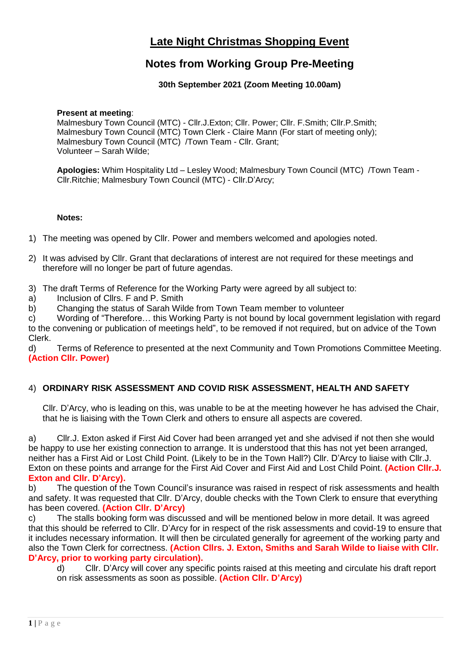# **Late Night Christmas Shopping Event**

## **Notes from Working Group Pre-Meeting**

**30th September 2021 (Zoom Meeting 10.00am)**

#### **Present at meeting**:

Malmesbury Town Council (MTC) - Cllr.J.Exton; Cllr. Power; Cllr. F.Smith; Cllr.P.Smith; Malmesbury Town Council (MTC) Town Clerk - Claire Mann (For start of meeting only); Malmesbury Town Council (MTC) /Town Team - Cllr. Grant; Volunteer – Sarah Wilde;

**Apologies:** Whim Hospitality Ltd – Lesley Wood; Malmesbury Town Council (MTC) /Town Team - Cllr.Ritchie; Malmesbury Town Council (MTC) - Cllr.D'Arcy;

#### **Notes:**

1) The meeting was opened by Cllr. Power and members welcomed and apologies noted.

- 2) It was advised by Cllr. Grant that declarations of interest are not required for these meetings and therefore will no longer be part of future agendas.
- 3) The draft Terms of Reference for the Working Party were agreed by all subject to:
- a) Inclusion of Cllrs. F and P. Smith
- b) Changing the status of Sarah Wilde from Town Team member to volunteer

c) Wording of "Therefore… this Working Party is not bound by local government legislation with regard to the convening or publication of meetings held", to be removed if not required, but on advice of the Town Clerk.

d) Terms of Reference to presented at the next Community and Town Promotions Committee Meeting. **(Action Cllr. Power)**

### 4) **ORDINARY RISK ASSESSMENT AND COVID RISK ASSESSMENT, HEALTH AND SAFETY**

Cllr. D'Arcy, who is leading on this, was unable to be at the meeting however he has advised the Chair, that he is liaising with the Town Clerk and others to ensure all aspects are covered.

a) Cllr.J. Exton asked if First Aid Cover had been arranged yet and she advised if not then she would be happy to use her existing connection to arrange. It is understood that this has not yet been arranged, neither has a First Aid or Lost Child Point. (Likely to be in the Town Hall?) Cllr. D'Arcy to liaise with Cllr.J. Exton on these points and arrange for the First Aid Cover and First Aid and Lost Child Point. **(Action Cllr.J. Exton and Cllr. D'Arcy).**

b) The question of the Town Council's insurance was raised in respect of risk assessments and health and safety. It was requested that Cllr. D'Arcy, double checks with the Town Clerk to ensure that everything has been covered. **(Action Cllr. D'Arcy)**

c) The stalls booking form was discussed and will be mentioned below in more detail. It was agreed that this should be referred to Cllr. D'Arcy for in respect of the risk assessments and covid-19 to ensure that it includes necessary information. It will then be circulated generally for agreement of the working party and also the Town Clerk for correctness. **(Action Cllrs. J. Exton, Smiths and Sarah Wilde to liaise with Cllr. D'Arcy, prior to working party circulation).**

d) Cllr. D'Arcy will cover any specific points raised at this meeting and circulate his draft report on risk assessments as soon as possible. **(Action Cllr. D'Arcy)**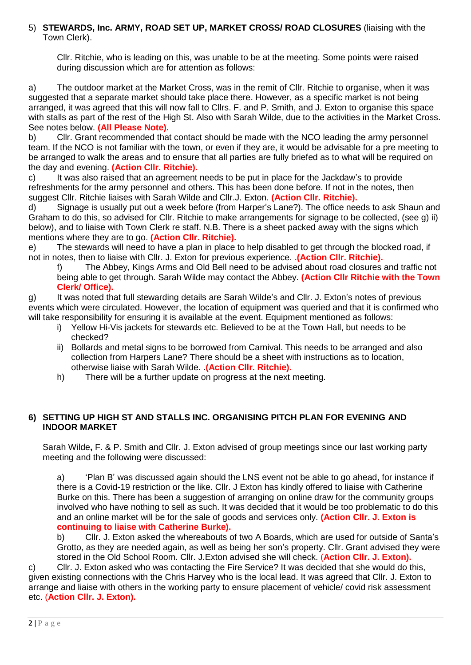### 5) **STEWARDS, Inc. ARMY, ROAD SET UP, MARKET CROSS/ ROAD CLOSURES** (liaising with the Town Clerk).

Cllr. Ritchie, who is leading on this, was unable to be at the meeting. Some points were raised during discussion which are for attention as follows:

a) The outdoor market at the Market Cross, was in the remit of Cllr. Ritchie to organise, when it was suggested that a separate market should take place there. However, as a specific market is not being arranged, it was agreed that this will now fall to Cllrs. F. and P. Smith, and J. Exton to organise this space with stalls as part of the rest of the High St. Also with Sarah Wilde, due to the activities in the Market Cross. See notes below. **(All Please Note).**

b) Cllr. Grant recommended that contact should be made with the NCO leading the army personnel team. If the NCO is not familiar with the town, or even if they are, it would be advisable for a pre meeting to be arranged to walk the areas and to ensure that all parties are fully briefed as to what will be required on the day and evening. **(Action Cllr. Ritchie).**

c) It was also raised that an agreement needs to be put in place for the Jackdaw's to provide refreshments for the army personnel and others. This has been done before. If not in the notes, then suggest Cllr. Ritchie liaises with Sarah Wilde and Cllr.J. Exton. **(Action Cllr. Ritchie).**

d) Signage is usually put out a week before (from Harper's Lane?). The office needs to ask Shaun and Graham to do this, so advised for Cllr. Ritchie to make arrangements for signage to be collected, (see g) ii) below), and to liaise with Town Clerk re staff. N.B. There is a sheet packed away with the signs which mentions where they are to go. **(Action Cllr. Ritchie).**

e) The stewards will need to have a plan in place to help disabled to get through the blocked road, if not in notes, then to liaise with Cllr. J. Exton for previous experience. .**(Action Cllr. Ritchie).**

f) The Abbey, Kings Arms and Old Bell need to be advised about road closures and traffic not being able to get through. Sarah Wilde may contact the Abbey. **(Action Cllr Ritchie with the Town Clerk/ Office).**

g) It was noted that full stewarding details are Sarah Wilde's and Cllr. J. Exton's notes of previous events which were circulated. However, the location of equipment was queried and that it is confirmed who will take responsibility for ensuring it is available at the event. Equipment mentioned as follows:

- i) Yellow Hi-Vis jackets for stewards etc. Believed to be at the Town Hall, but needs to be checked?
- ii) Bollards and metal signs to be borrowed from Carnival. This needs to be arranged and also collection from Harpers Lane? There should be a sheet with instructions as to location, otherwise liaise with Sarah Wilde. .**(Action Cllr. Ritchie).**
- h) There will be a further update on progress at the next meeting.

### **6) SETTING UP HIGH ST AND STALLS INC. ORGANISING PITCH PLAN FOR EVENING AND INDOOR MARKET**

Sarah Wilde**,** F. & P. Smith and Cllr. J. Exton advised of group meetings since our last working party meeting and the following were discussed:

a) 'Plan B' was discussed again should the LNS event not be able to go ahead, for instance if there is a Covid-19 restriction or the like. Cllr. J Exton has kindly offered to liaise with Catherine Burke on this. There has been a suggestion of arranging on online draw for the community groups involved who have nothing to sell as such. It was decided that it would be too problematic to do this and an online market will be for the sale of goods and services only. **(Action Cllr. J. Exton is continuing to liaise with Catherine Burke).**

b) Cllr. J. Exton asked the whereabouts of two A Boards, which are used for outside of Santa's Grotto, as they are needed again, as well as being her son's property. Cllr. Grant advised they were stored in the Old School Room. Cllr. J.Exton advised she will check. (**Action Cllr. J. Exton).**

c) Cllr. J. Exton asked who was contacting the Fire Service? It was decided that she would do this, given existing connections with the Chris Harvey who is the local lead. It was agreed that Cllr. J. Exton to arrange and liaise with others in the working party to ensure placement of vehicle/ covid risk assessment etc. (**Action Cllr. J. Exton).**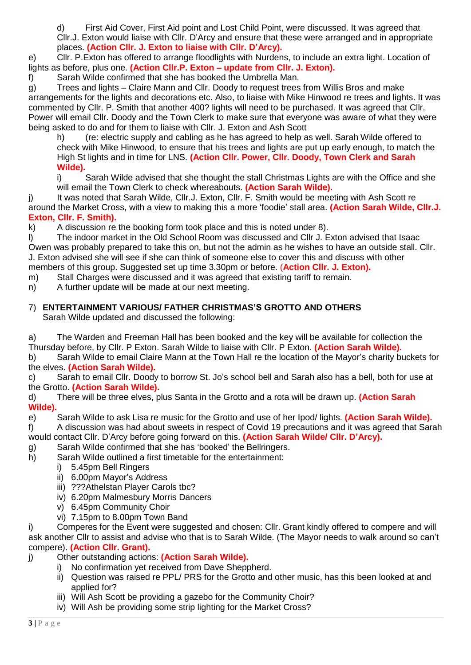d) First Aid Cover, First Aid point and Lost Child Point, were discussed. It was agreed that Cllr.J. Exton would liaise with Cllr. D'Arcy and ensure that these were arranged and in appropriate places. **(Action Cllr. J. Exton to liaise with Cllr. D'Arcy).**

e) Cllr. P.Exton has offered to arrange floodlights with Nurdens, to include an extra light. Location of lights as before, plus one. **(Action Cllr.P. Exton – update from Cllr. J. Exton).**

f) Sarah Wilde confirmed that she has booked the Umbrella Man.

g) Trees and lights – Claire Mann and Cllr. Doody to request trees from Willis Bros and make arrangements for the lights and decorations etc. Also, to liaise with Mike Hinwood re trees and lights. It was commented by Cllr. P. Smith that another 400? lights will need to be purchased. It was agreed that Cllr. Power will email Cllr. Doody and the Town Clerk to make sure that everyone was aware of what they were being asked to do and for them to liaise with Cllr. J. Exton and Ash Scott

h) (re: electric supply and cabling as he has agreed to help as well. Sarah Wilde offered to check with Mike Hinwood, to ensure that his trees and lights are put up early enough, to match the High St lights and in time for LNS. **(Action Cllr. Power, Cllr. Doody, Town Clerk and Sarah Wilde).**

i) Sarah Wilde advised that she thought the stall Christmas Lights are with the Office and she will email the Town Clerk to check whereabouts. **(Action Sarah Wilde).**

j) It was noted that Sarah Wilde, Cllr.J. Exton, Cllr. F. Smith would be meeting with Ash Scott re around the Market Cross, with a view to making this a more 'foodie' stall area. **(Action Sarah Wilde, Cllr.J. Exton, Cllr. F. Smith).**

k) A discussion re the booking form took place and this is noted under 8).

l) The indoor market in the Old School Room was discussed and Cllr J. Exton advised that Isaac Owen was probably prepared to take this on, but not the admin as he wishes to have an outside stall. Cllr. J. Exton advised she will see if she can think of someone else to cover this and discuss with other members of this group. Suggested set up time 3.30pm or before. (**Action Cllr. J. Exton).**

m) Stall Charges were discussed and it was agreed that existing tariff to remain.

n) A further update will be made at our next meeting.

## 7) **ENTERTAINMENT VARIOUS/ FATHER CHRISTMAS'S GROTTO AND OTHERS**

Sarah Wilde updated and discussed the following:

a) The Warden and Freeman Hall has been booked and the key will be available for collection the Thursday before, by Cllr. P Exton. Sarah Wilde to liaise with Cllr. P Exton. **(Action Sarah Wilde).**

b) Sarah Wilde to email Claire Mann at the Town Hall re the location of the Mayor's charity buckets for the elves. **(Action Sarah Wilde).**

c) Sarah to email Cllr. Doody to borrow St. Jo's school bell and Sarah also has a bell, both for use at the Grotto. **(Action Sarah Wilde).**

d) There will be three elves, plus Santa in the Grotto and a rota will be drawn up. **(Action Sarah Wilde).**

e) Sarah Wilde to ask Lisa re music for the Grotto and use of her Ipod/ lights. **(Action Sarah Wilde).**

f) A discussion was had about sweets in respect of Covid 19 precautions and it was agreed that Sarah would contact Cllr. D'Arcy before going forward on this. **(Action Sarah Wilde/ Cllr. D'Arcy).**

- g) Sarah Wilde confirmed that she has 'booked' the Bellringers.
- h) Sarah Wilde outlined a first timetable for the entertainment:
	- i) 5.45pm Bell Ringers
	- ii) 6.00pm Mayor's Address
	- iii) ???Athelstan Player Carols tbc?
	- iv) 6.20pm Malmesbury Morris Dancers
	- v) 6.45pm Community Choir
	- vi) 7.15pm to 8.00pm Town Band

Comperes for the Event were suggested and chosen: Cllr. Grant kindly offered to compere and will ask another Cllr to assist and advise who that is to Sarah Wilde. (The Mayor needs to walk around so can't compere). **(Action Cllr. Grant).**

j) Other outstanding actions: **(Action Sarah Wilde).**

- i) No confirmation vet received from Dave Sheppherd.
	- ii) Question was raised re PPL/ PRS for the Grotto and other music, has this been looked at and applied for?
	- iii) Will Ash Scott be providing a gazebo for the Community Choir?
	- iv) Will Ash be providing some strip lighting for the Market Cross?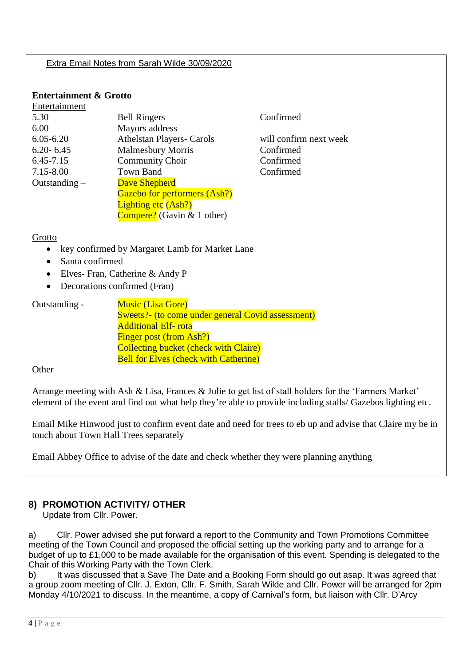### Extra Email Notes from Sarah Wilde 30/09/2020

### **Entertainment & Grotto**

| Entertainment   |                                      |                        |
|-----------------|--------------------------------------|------------------------|
| 5.30            | <b>Bell Ringers</b>                  | Confirmed              |
| 6.00            | Mayors address                       |                        |
| $6.05 - 6.20$   | Athelstan Players- Carols            | will confirm next week |
| $6.20 - 6.45$   | <b>Malmesbury Morris</b>             | Confirmed              |
| $6.45 - 7.15$   | <b>Community Choir</b>               | Confirmed              |
| 7.15-8.00       | Town Band                            | Confirmed              |
| Outstanding $-$ | <b>Dave Shepherd</b>                 |                        |
|                 | Gazebo for performers (Ash?)         |                        |
|                 | <b>Lighting etc</b> (Ash?)           |                        |
|                 | <b>Compere?</b> (Gavin $\&$ 1 other) |                        |

### Grotto

- key confirmed by Margaret Lamb for Market Lane
- Santa confirmed
- Elves- Fran, Catherine & Andy P
- Decorations confirmed (Fran)

Outstanding - Music (Lisa Gore) Sweets?- (to come under general Covid assessment) Additional Elf- rota Finger post (from Ash?) Collecting bucket (check with Claire) Bell for Elves (check with Catherine)

### **Other**

Arrange meeting with Ash & Lisa, Frances & Julie to get list of stall holders for the 'Farmers Market' element of the event and find out what help they're able to provide including stalls/ Gazebos lighting etc.

Email Mike Hinwood just to confirm event date and need for trees to eb up and advise that Claire my be in touch about Town Hall Trees separately

Email Abbey Office to advise of the date and check whether they were planning anything

### **8) PROMOTION ACTIVITY/ OTHER**

Update from Cllr. Power.

a) Cllr. Power advised she put forward a report to the Community and Town Promotions Committee meeting of the Town Council and proposed the official setting up the working party and to arrange for a budget of up to £1,000 to be made available for the organisation of this event. Spending is delegated to the Chair of this Working Party with the Town Clerk.

b) It was discussed that a Save The Date and a Booking Form should go out asap. It was agreed that a group zoom meeting of Cllr. J. Exton, Cllr. F. Smith, Sarah Wilde and Cllr. Power will be arranged for 2pm Monday 4/10/2021 to discuss. In the meantime, a copy of Carnival's form, but liaison with Cllr. D'Arcy